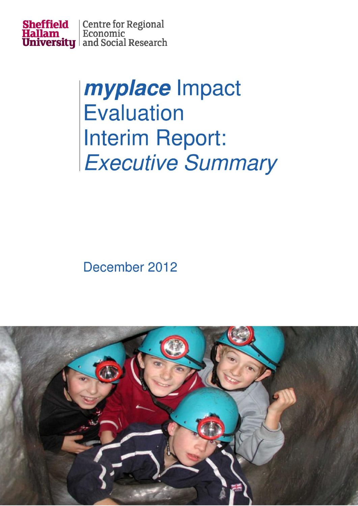

# myplace Impact **Evaluation Interim Report: Executive Summary**

## December 2012

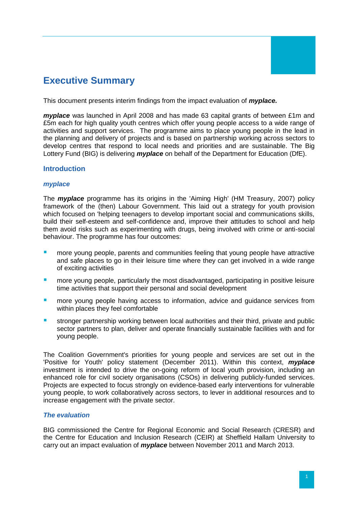

### **Executive Summary**

This document presents interim findings from the impact evaluation of *myplace.*

*myplace* was launched in April 2008 and has made 63 capital grants of between £1m and £5m each for high quality youth centres which offer young people access to a wide range of activities and support services. The programme aims to place young people in the lead in the planning and delivery of projects and is based on partnership working across sectors to develop centres that respond to local needs and priorities and are sustainable. The Big Lottery Fund (BIG) is delivering *myplace* on behalf of the Department for Education (DfE).

#### **Introduction**

#### *myplace*

The *myplace* programme has its origins in the 'Aiming High' (HM Treasury, 2007) policy framework of the (then) Labour Government. This laid out a strategy for youth provision which focused on 'helping teenagers to develop important social and communications skills, build their self-esteem and self-confidence and, improve their attitudes to school and help them avoid risks such as experimenting with drugs, being involved with crime or anti-social behaviour. The programme has four outcomes:

- more young people, parents and communities feeling that young people have attractive and safe places to go in their leisure time where they can get involved in a wide range of exciting activities
- **numore young people, particularly the most disadvantaged, participating in positive leisure** time activities that support their personal and social development
- **numore young people having access to information, advice and guidance services from** within places they feel comfortable
- stronger partnership working between local authorities and their third, private and public sector partners to plan, deliver and operate financially sustainable facilities with and for young people.

The Coalition Government's priorities for young people and services are set out in the 'Positive for Youth' policy statement (December 2011). Within this context, *myplace* investment is intended to drive the on-going reform of local youth provision, including an enhanced role for civil society organisations (CSOs) in delivering publicly-funded services. Projects are expected to focus strongly on evidence-based early interventions for vulnerable young people, to work collaboratively across sectors, to lever in additional resources and to increase engagement with the private sector.

#### *The evaluation*

BIG commissioned the Centre for Regional Economic and Social Research (CRESR) and the Centre for Education and Inclusion Research (CEIR) at Sheffield Hallam University to carry out an impact evaluation of *myplace* between November 2011 and March 2013.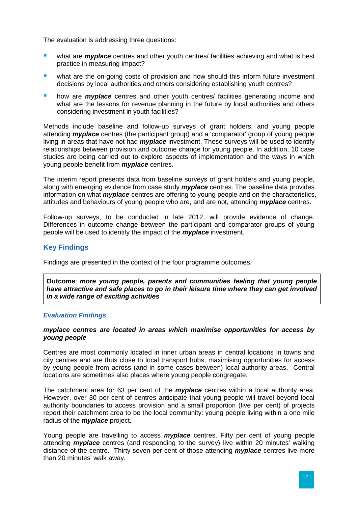The evaluation is addressing three questions:

- **u** what are *myplace* centres and other youth centres/ facilities achieving and what is best practice in measuring impact?
- **•** what are the on-going costs of provision and how should this inform future investment decisions by local authorities and others considering establishing youth centres?
- **how are** *myplace* centres and other youth centres/ facilities generating income and what are the lessons for revenue planning in the future by local authorities and others considering investment in youth facilities?

Methods include baseline and follow-up surveys of grant holders, and young people attending *myplace* centres (the participant group) and a 'comparator' group of young people living in areas that have not had *myplace* investment. These surveys will be used to identify relationships between provision and outcome change for young people. In addition, 10 case studies are being carried out to explore aspects of implementation and the ways in which young people benefit from *myplace* centres.

The interim report presents data from baseline surveys of grant holders and young people, along with emerging evidence from case study *myplace* centres. The baseline data provides information on what *myplace* centres are offering to young people and on the characteristics, attitudes and behaviours of young people who are, and are not, attending *myplace* centres.

Follow-up surveys, to be conducted in late 2012, will provide evidence of change. Differences in outcome change between the participant and comparator groups of young people will be used to identify the impact of the *myplace* investment.

#### **Key Findings**

Findings are presented in the context of the four programme outcomes.

**Outcome**: *more young people, parents and communities feeling that young people have attractive and safe places to go in their leisure time where they can get involved in a wide range of exciting activities*

#### *Evaluation Findings*

#### *myplace centres are located in areas which maximise opportunities for access by young people*

Centres are most commonly located in inner urban areas in central locations in towns and city centres and are thus close to local transport hubs, maximising opportunities for access by young people from across (and in some cases between) local authority areas. Central locations are sometimes also places where young people congregate.

The catchment area for 63 per cent of the *myplace* centres within a local authority area. However, over 30 per cent of centres anticipate that young people will travel beyond local authority boundaries to access provision and a small proportion (five per cent) of projects report their catchment area to be the local community: young people living within a one mile radius of the *myplace* project.

Young people are travelling to access *myplace* centres. Fifty per cent of young people attending *myplace* centres (and responding to the survey) live within 20 minutes' walking distance of the centre. Thirty seven per cent of those attending *myplace* centres live more than 20 minutes' walk away.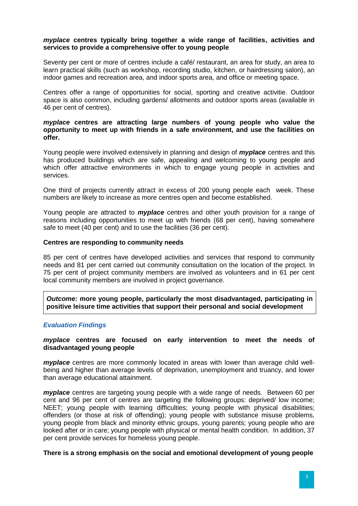#### *myplace* **centres typically bring together a wide range of facilities, activities and services to provide a comprehensive offer to young people**

Seventy per cent or more of centres include a café/ restaurant, an area for study, an area to learn practical skills (such as workshop, recording studio, kitchen, or hairdressing salon), an indoor games and recreation area, and indoor sports area, and office or meeting space.

Centres offer a range of opportunities for social, sporting and creative activitie. Outdoor space is also common, including gardens/ allotments and outdoor sports areas (available in 46 per cent of centres).

#### *myplace* **centres are attracting large numbers of young people who value the opportunity to meet up with friends in a safe environment, and use the facilities on offer.**

Young people were involved extensively in planning and design of *myplace* centres and this has produced buildings which are safe, appealing and welcoming to young people and which offer attractive environments in which to engage young people in activities and services.

One third of projects currently attract in excess of 200 young people each week. These numbers are likely to increase as more centres open and become established.

Young people are attracted to *myplace* centres and other youth provision for a range of reasons including opportunities to meet up with friends (68 per cent), having somewhere safe to meet (40 per cent) and to use the facilities (36 per cent).

#### **Centres are responding to community needs**

85 per cent of centres have developed activities and services that respond to community needs and 81 per cent carried out community consultation on the location of the project. In 75 per cent of project community members are involved as volunteers and in 61 per cent local community members are involved in project governance.

*Outcome:* **more young people, particularly the most disadvantaged, participating in positive leisure time activities that support their personal and social development**

#### *Evaluation Findings*

#### *myplace* **centres are focused on early intervention to meet the needs of disadvantaged young people**

*myplace* centres are more commonly located in areas with lower than average child wellbeing and higher than average levels of deprivation, unemployment and truancy, and lower than average educational attainment.

*myplace* centres are targeting young people with a wide range of needs. Between 60 per cent and 96 per cent of centres are targeting the following groups: deprived/ low income; NEET; young people with learning difficulties; young people with physical disabilities; offenders (or those at risk of offending); young people with substance misuse problems, young people from black and minority ethnic groups, young parents; young people who are looked after or in care; young people with physical or mental health condition. In addition, 37 per cent provide services for homeless young people.

#### **There is a strong emphasis on the social and emotional development of young people**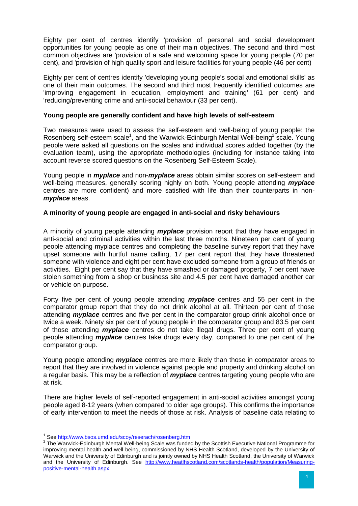Eighty per cent of centres identify 'provision of personal and social development opportunities for young people as one of their main objectives. The second and third most common objectives are 'provision of a safe and welcoming space for young people (70 per cent), and 'provision of high quality sport and leisure facilities for young people (46 per cent)

Eighty per cent of centres identify 'developing young people's social and emotional skills' as one of their main outcomes. The second and third most frequently identified outcomes are 'improving engagement in education, employment and training' (61 per cent) and 'reducing/preventing crime and anti-social behaviour (33 per cent).

#### **Young people are generally confident and have high levels of self-esteem**

Two measures were used to assess the self-esteem and well-being of young people: the Rosenberg self-esteem scale<sup>1</sup>, and the Warwick-Edinburgh Mental Well-being<sup>2</sup> scale. Young people were asked all questions on the scales and individual scores added together (by the evaluation team), using the appropriate methodologies (including for instance taking into account reverse scored questions on the Rosenberg Self-Esteem Scale).

Young people in *myplace* and non-*myplace* areas obtain similar scores on self-esteem and well-being measures, generally scoring highly on both. Young people attending *myplace* centres are more confident) and more satisfied with life than their counterparts in non*myplace* areas.

#### **A minority of young people are engaged in anti-social and risky behaviours**

A minority of young people attending *myplace* provision report that they have engaged in anti-social and criminal activities within the last three months. Nineteen per cent of young people attending myplace centres and completing the baseline survey report that they have upset someone with hurtful name calling, 17 per cent report that they have threatened someone with violence and eight per cent have excluded someone from a group of friends or activities. Eight per cent say that they have smashed or damaged property, 7 per cent have stolen something from a shop or business site and 4.5 per cent have damaged another car or vehicle on purpose.

Forty five per cent of young people attending *myplace* centres and 55 per cent in the comparator group report that they do not drink alcohol at all. Thirteen per cent of those attending *myplace* centres and five per cent in the comparator group drink alcohol once or twice a week. Ninety six per cent of young people in the comparator group and 83.5 per cent of those attending *myplace* centres do not take illegal drugs. Three per cent of young people attending *myplace* centres take drugs every day, compared to one per cent of the comparator group.

Young people attending *myplace* centres are more likely than those in comparator areas to report that they are involved in violence against people and property and drinking alcohol on a regular basis. This may be a reflection of *myplace* centres targeting young people who are at risk.

There are higher levels of self-reported engagement in anti-social activities amongst young people aged 8-12 years (when compared to older age groups). This confirms the importance of early intervention to meet the needs of those at risk. Analysis of baseline data relating to

-

<sup>&</sup>lt;sup>1</sup> See<http://www.bsos.umd.edu/scoy/reserach/rosenberg.htm>

<sup>&</sup>lt;sup>2</sup> The Warwick-Edinburgh Mental Well-being Scale was funded by the Scottish Executive National Programme for improving mental health and well-being, commissioned by NHS Health Scotland, developed by the University of Warwick and the University of Edinburgh and is jointly owned by NHS Health Scotland, the University of Warwick and the University of Edinburgh. See [http://www.heatlhscotland.com/scotlands-health/population/Measuring](http://www.heatlhscotland.com/scotlands-health/population/Measuring-positive-mental-health.aspx)[positive-mental-health.aspx](http://www.heatlhscotland.com/scotlands-health/population/Measuring-positive-mental-health.aspx)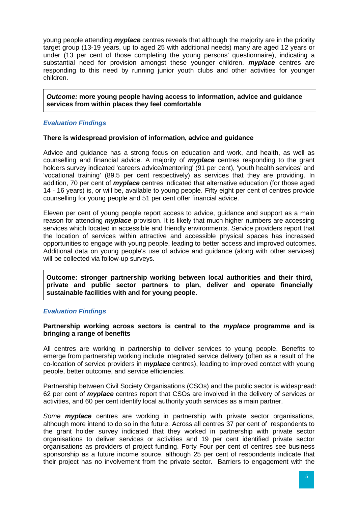young people attending *myplace* centres reveals that although the majority are in the priority target group (13-19 years, up to aged 25 with additional needs) many are aged 12 years or under (13 per cent of those completing the young persons' questionnaire), indicating a substantial need for provision amongst these younger children. *myplace* centres are responding to this need by running junior youth clubs and other activities for younger children.

*Outcome:* **more young people having access to information, advice and guidance services from within places they feel comfortable**

#### *Evaluation Findings*

#### **There is widespread provision of information, advice and guidance**

Advice and guidance has a strong focus on education and work, and health, as well as counselling and financial advice. A majority of *myplace* centres responding to the grant holders survey indicated 'careers advice/mentoring' (91 per cent), 'youth health services' and 'vocational training' (89.5 per cent respectively) as services that they are providing. In addition, 70 per cent of *myplace* centres indicated that alternative education (for those aged 14 - 16 years) is, or will be, available to young people. Fifty eight per cent of centres provide counselling for young people and 51 per cent offer financial advice.

Eleven per cent of young people report access to advice, guidance and support as a main reason for attending *myplace* provision. It is likely that much higher numbers are accessing services which located in accessible and friendly environments. Service providers report that the location of services within attractive and accessible physical spaces has increased opportunities to engage with young people, leading to better access and improved outcomes. Additional data on young people's use of advice and guidance (along with other services) will be collected via follow-up surveys.

**Outcome: stronger partnership working between local authorities and their third, private and public sector partners to plan, deliver and operate financially sustainable facilities with and for young people.**

#### *Evaluation Findings*

#### **Partnership working across sectors is central to the** *myplace* **programme and is bringing a range of benefits**

All centres are working in partnership to deliver services to young people. Benefits to emerge from partnership working include integrated service delivery (often as a result of the co-location of service providers in *myplace* centres), leading to improved contact with young people, better outcome, and service efficiencies.

Partnership between Civil Society Organisations (CSOs) and the public sector is widespread: 62 per cent of *myplace* centres report that CSOs are involved in the delivery of services or activities, and 60 per cent identify local authority youth services as a main partner.

*Some myplace* centres are working in partnership with private sector organisations, although more intend to do so in the future. Across all centres 37 per cent of respondents to the grant holder survey indicated that they worked in partnership with private sector organisations to deliver services or activities and 19 per cent identified private sector organisations as providers of project funding. Forty Four per cent of centres see business sponsorship as a future income source, although 25 per cent of respondents indicate that their project has no involvement from the private sector. Barriers to engagement with the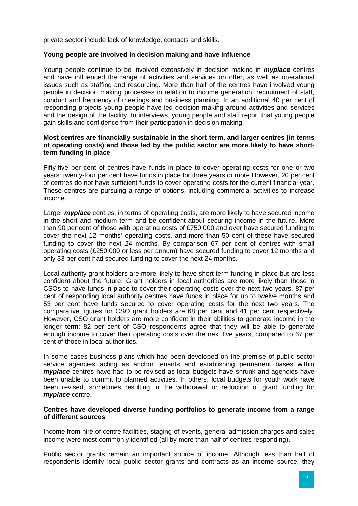private sector include lack of knowledge, contacts and skills.

#### **Young people are involved in decision making and have influence**

Young people continue to be involved extensively in decision making in *myplace* centres and have influenced the range of activities and services on offer, as well as operational issues such as staffing and resourcing. More than half of the centres have involved young people in decision making processes in relation to income generation, recruitment of staff, conduct and frequency of meetings and business planning. In an additional 40 per cent of responding projects young people have led decision making around activities and services and the design of the facility. In interviews, young people and staff report that young people gain skills and confidence from their participation in decision making.

#### **Most centres are financially sustainable in the short term, and larger centres (in terms of operating costs) and those led by the public sector are more likely to have shortterm funding in place**

Fifty-five per cent of centres have funds in place to cover operating costs for one or two years: twenty-four per cent have funds in place for three years or more However, 20 per cent of centres do not have sufficient funds to cover operating costs for the current financial year. These centres are pursuing a range of options, including commercial activities to increase income.

Larger *myplace* centres, in terms of operating costs, are more likely to have secured income in the short and medium term and be confident about securing income in the future**.** More than 90 per cent of those with operating costs of £750,000 and over have secured funding to cover the next 12 months' operating costs, and more than 50 cent of these have secured funding to cover the next 24 months. By comparison 67 per cent of centres with small operating costs (£250,000 or less per annum) have secured funding to cover 12 months and only 33 per cent had secured funding to cover the next 24 months.

Local authority grant holders are more likely to have short term funding in place but are less confident about the future. Grant holders in local authorities are more likely than those in CSOs to have funds in place to cover their operating costs over the next two years. 87 per cent of responding local authority centres have funds in place for up to twelve months and 53 per cent have funds secured to cover operating costs for the next two years. The comparative figures for CSO grant holders are 68 per cent and 41 per cent respectively. However, CSO grant holders are more confident in their abilities to generate income in the longer term: 82 per cent of CSO respondents agree that they will be able to generate enough income to cover their operating costs over the next five years, compared to 67 per cent of those in local authorities.

In some cases business plans which had been developed on the premise of public sector service agencies acting as anchor tenants and establishing permanent bases within *myplace* centres have had to be revised as local budgets have shrunk and agencies have been unable to commit to planned activities. In others, local budgets for youth work have been revised, sometimes resulting in the withdrawal or reduction of grant funding for *myplace* centre.

#### **Centres have developed diverse funding portfolios to generate income from a range of different sources**

Income from hire of centre facilities, staging of events, general admission charges and sales income were most commonly identified (all by more than half of centres responding).

Public sector grants remain an important source of income. Although less than half of respondents identify local public sector grants and contracts as an income source, they